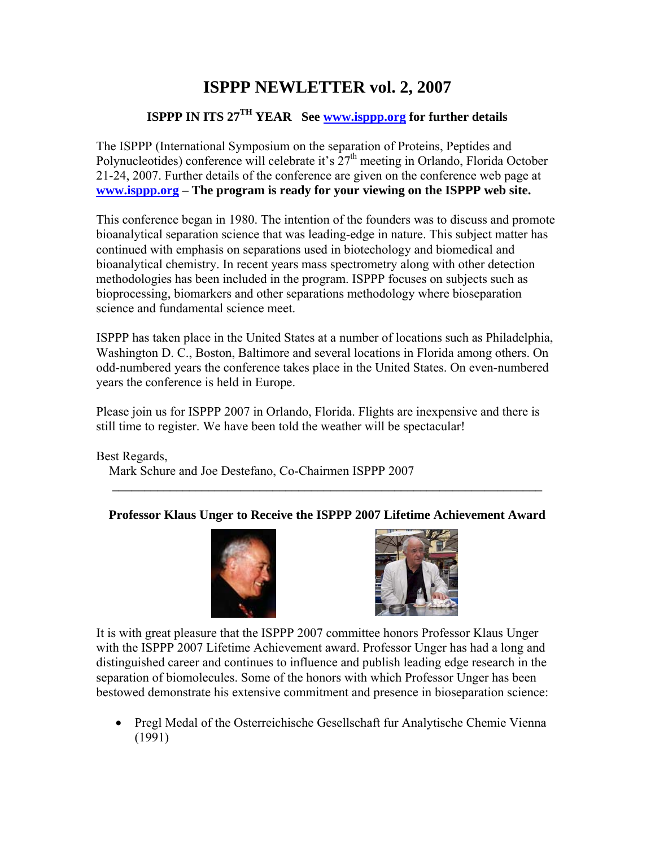# **ISPPP NEWLETTER vol. 2, 2007**

## **ISPPP IN ITS 27TH YEAR See [www.isppp.org](http://www.isppp.org/) for further details**

The ISPPP (International Symposium on the separation of Proteins, Peptides and Polynucleotides) conference will celebrate it's 27<sup>th</sup> meeting in Orlando, Florida October 21-24, 2007. Further details of the conference are given on the conference web page at **[www.isppp.org](http://www.isppp.org/) – The program is ready for your viewing on the ISPPP web site.**

This conference began in 1980. The intention of the founders was to discuss and promote bioanalytical separation science that was leading-edge in nature. This subject matter has continued with emphasis on separations used in biotechology and biomedical and bioanalytical chemistry. In recent years mass spectrometry along with other detection methodologies has been included in the program. ISPPP focuses on subjects such as bioprocessing, biomarkers and other separations methodology where bioseparation science and fundamental science meet.

ISPPP has taken place in the United States at a number of locations such as Philadelphia, Washington D. C., Boston, Baltimore and several locations in Florida among others. On odd-numbered years the conference takes place in the United States. On even-numbered years the conference is held in Europe.

Please join us for ISPPP 2007 in Orlando, Florida. Flights are inexpensive and there is still time to register. We have been told the weather will be spectacular!

Best Regards, Mark Schure and Joe Destefano, Co-Chairmen ISPPP 2007

## **Professor Klaus Unger to Receive the ISPPP 2007 Lifetime Achievement Award**

**\_\_\_\_\_\_\_\_\_\_\_\_\_\_\_\_\_\_\_\_\_\_\_\_\_\_\_\_\_\_\_\_\_\_\_\_\_\_\_\_\_\_\_\_\_\_\_\_\_\_\_\_\_\_\_\_\_\_\_\_\_\_\_\_\_\_\_** 





It is with great pleasure that the ISPPP 2007 committee honors Professor Klaus Unger with the ISPPP 2007 Lifetime Achievement award. Professor Unger has had a long and distinguished career and continues to influence and publish leading edge research in the separation of biomolecules. Some of the honors with which Professor Unger has been bestowed demonstrate his extensive commitment and presence in bioseparation science:

• Pregl Medal of the Osterreichische Gesellschaft fur Analytische Chemie Vienna (1991)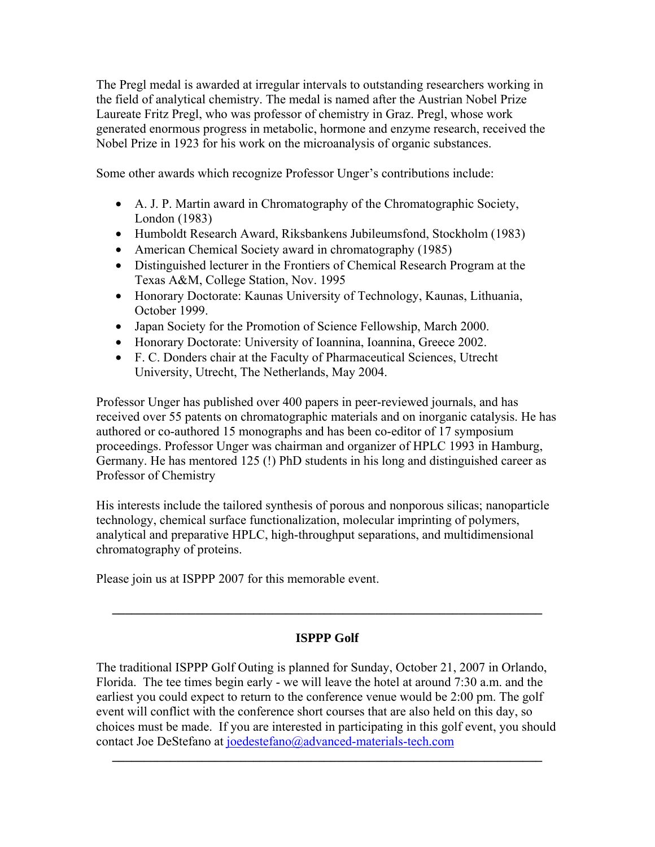The Pregl medal is awarded at irregular intervals to outstanding researchers working in the field of analytical chemistry. The medal is named after the Austrian Nobel Prize Laureate Fritz Pregl, who was professor of chemistry in Graz. Pregl, whose work generated enormous progress in metabolic, hormone and enzyme research, received the Nobel Prize in 1923 for his work on the microanalysis of organic substances.

Some other awards which recognize Professor Unger's contributions include:

- A. J. P. Martin award in Chromatography of the Chromatographic Society, London (1983)
- Humboldt Research Award, Riksbankens Jubileumsfond, Stockholm (1983)
- American Chemical Society award in chromatography (1985)
- Distinguished lecturer in the Frontiers of Chemical Research Program at the Texas A&M, College Station, Nov. 1995
- Honorary Doctorate: Kaunas University of Technology, Kaunas, Lithuania, October 1999.
- Japan Society for the Promotion of Science Fellowship, March 2000.
- Honorary Doctorate: University of Ioannina, Ioannina, Greece 2002.
- F. C. Donders chair at the Faculty of Pharmaceutical Sciences, Utrecht University, Utrecht, The Netherlands, May 2004.

Professor Unger has published over 400 papers in peer-reviewed journals, and has received over 55 patents on chromatographic materials and on inorganic catalysis. He has authored or co-authored 15 monographs and has been co-editor of 17 symposium proceedings. Professor Unger was chairman and organizer of HPLC 1993 in Hamburg, Germany. He has mentored 125 (!) PhD students in his long and distinguished career as Professor of Chemistry

His interests include the tailored synthesis of porous and nonporous silicas; nanoparticle technology, chemical surface functionalization, molecular imprinting of polymers, analytical and preparative HPLC, high-throughput separations, and multidimensional chromatography of proteins.

Please join us at ISPPP 2007 for this memorable event.

## **ISPPP Golf**

**\_\_\_\_\_\_\_\_\_\_\_\_\_\_\_\_\_\_\_\_\_\_\_\_\_\_\_\_\_\_\_\_\_\_\_\_\_\_\_\_\_\_\_\_\_\_\_\_\_\_\_\_\_\_\_\_\_\_\_\_\_\_\_\_\_\_\_** 

The traditional ISPPP Golf Outing is planned for Sunday, October 21, 2007 in Orlando, Florida. The tee times begin early - we will leave the hotel at around 7:30 a.m. and the earliest you could expect to return to the conference venue would be 2:00 pm. The golf event will conflict with the conference short courses that are also held on this day, so choices must be made. If you are interested in participating in this golf event, you should contact Joe DeStefano at [joedestefano@advanced-materials-tech.com](https://webmail.speakeasy.net/cgi-bin/compose?id=008de61b3e816e4799e3622fe11cd6d0f61&new=&xsl=compose.xsl&to=joedestefano@advanced-materials-tech.com)

**\_\_\_\_\_\_\_\_\_\_\_\_\_\_\_\_\_\_\_\_\_\_\_\_\_\_\_\_\_\_\_\_\_\_\_\_\_\_\_\_\_\_\_\_\_\_\_\_\_\_\_\_\_\_\_\_\_\_\_\_\_\_\_\_\_\_\_**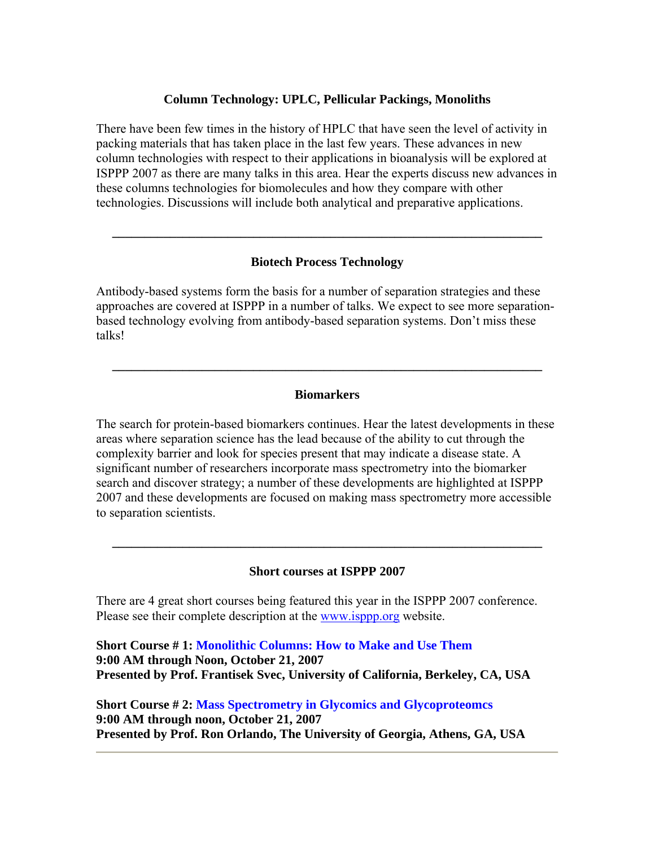#### **Column Technology: UPLC, Pellicular Packings, Monoliths**

There have been few times in the history of HPLC that have seen the level of activity in packing materials that has taken place in the last few years. These advances in new column technologies with respect to their applications in bioanalysis will be explored at ISPPP 2007 as there are many talks in this area. Hear the experts discuss new advances in these columns technologies for biomolecules and how they compare with other technologies. Discussions will include both analytical and preparative applications.

#### **Biotech Process Technology**

**\_\_\_\_\_\_\_\_\_\_\_\_\_\_\_\_\_\_\_\_\_\_\_\_\_\_\_\_\_\_\_\_\_\_\_\_\_\_\_\_\_\_\_\_\_\_\_\_\_\_\_\_\_\_\_\_\_\_\_\_\_\_\_\_\_\_\_** 

Antibody-based systems form the basis for a number of separation strategies and these approaches are covered at ISPPP in a number of talks. We expect to see more separationbased technology evolving from antibody-based separation systems. Don't miss these talks!

#### **Biomarkers**

**\_\_\_\_\_\_\_\_\_\_\_\_\_\_\_\_\_\_\_\_\_\_\_\_\_\_\_\_\_\_\_\_\_\_\_\_\_\_\_\_\_\_\_\_\_\_\_\_\_\_\_\_\_\_\_\_\_\_\_\_\_\_\_\_\_\_\_** 

The search for protein-based biomarkers continues. Hear the latest developments in these areas where separation science has the lead because of the ability to cut through the complexity barrier and look for species present that may indicate a disease state. A significant number of researchers incorporate mass spectrometry into the biomarker search and discover strategy; a number of these developments are highlighted at ISPPP 2007 and these developments are focused on making mass spectrometry more accessible to separation scientists.

#### **Short courses at ISPPP 2007**

**\_\_\_\_\_\_\_\_\_\_\_\_\_\_\_\_\_\_\_\_\_\_\_\_\_\_\_\_\_\_\_\_\_\_\_\_\_\_\_\_\_\_\_\_\_\_\_\_\_\_\_\_\_\_\_\_\_\_\_\_\_\_\_\_\_\_\_** 

There are 4 great short courses being featured this year in the ISPPP 2007 conference. Please see their complete description at the [www.isppp.org](http://www.isppp.org/) website.

**Short Course # 1: Monolithic Columns: How to Make and Use Them 9:00 AM through Noon, October 21, 2007 Presented by Prof. Frantisek Svec, University of California, Berkeley, CA, USA** 

**Short Course # 2: Mass Spectrometry in Glycomics and Glycoproteomcs 9:00 AM through noon, October 21, 2007 Presented by Prof. Ron Orlando, The University of Georgia, Athens, GA, USA**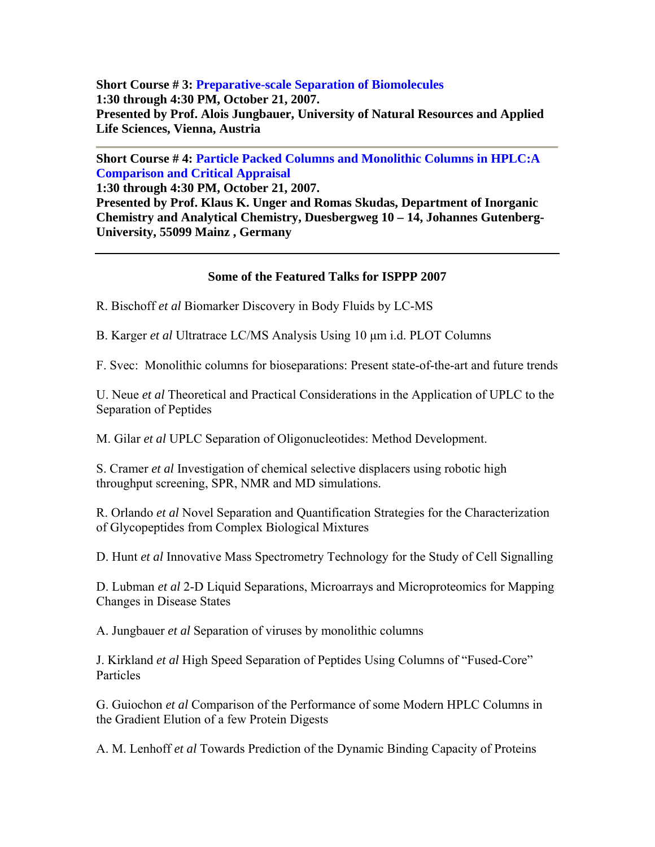**Short Course # 3: Preparative-scale Separation of Biomolecules 1:30 through 4:30 PM, October 21, 2007. Presented by Prof. Alois Jungbauer, University of Natural Resources and Applied Life Sciences, Vienna, Austria** 

**Short Course # 4: Particle Packed Columns and Monolithic Columns in HPLC:A Comparison and Critical Appraisal 1:30 through 4:30 PM, October 21, 2007.** 

**Presented by Prof. Klaus K. Unger and Romas Skudas, Department of Inorganic Chemistry and Analytical Chemistry, Duesbergweg 10 – 14, Johannes Gutenberg-University, 55099 Mainz , Germany** 

## **Some of the Featured Talks for ISPPP 2007**

R. Bischoff *et al* Biomarker Discovery in Body Fluids by LC-MS

B. Karger *et al* Ultratrace LC/MS Analysis Using 10 μm i.d. PLOT Columns

F. Svec: Monolithic columns for bioseparations: Present state-of-the-art and future trends

U. Neue *et al* Theoretical and Practical Considerations in the Application of UPLC to the Separation of Peptides

M. Gilar *et al* UPLC Separation of Oligonucleotides: Method Development.

S. Cramer *et al* Investigation of chemical selective displacers using robotic high throughput screening, SPR, NMR and MD simulations.

R. Orlando *et al* Novel Separation and Quantification Strategies for the Characterization of Glycopeptides from Complex Biological Mixtures

D. Hunt *et al* Innovative Mass Spectrometry Technology for the Study of Cell Signalling

D. Lubman *et al* 2-D Liquid Separations, Microarrays and Microproteomics for Mapping Changes in Disease States

A. Jungbauer *et al* Separation of viruses by monolithic columns

J. Kirkland *et al* High Speed Separation of Peptides Using Columns of "Fused-Core" Particles

G. Guiochon *et al* Comparison of the Performance of some Modern HPLC Columns in the Gradient Elution of a few Protein Digests

A. M. Lenhoff *et al* Towards Prediction of the Dynamic Binding Capacity of Proteins